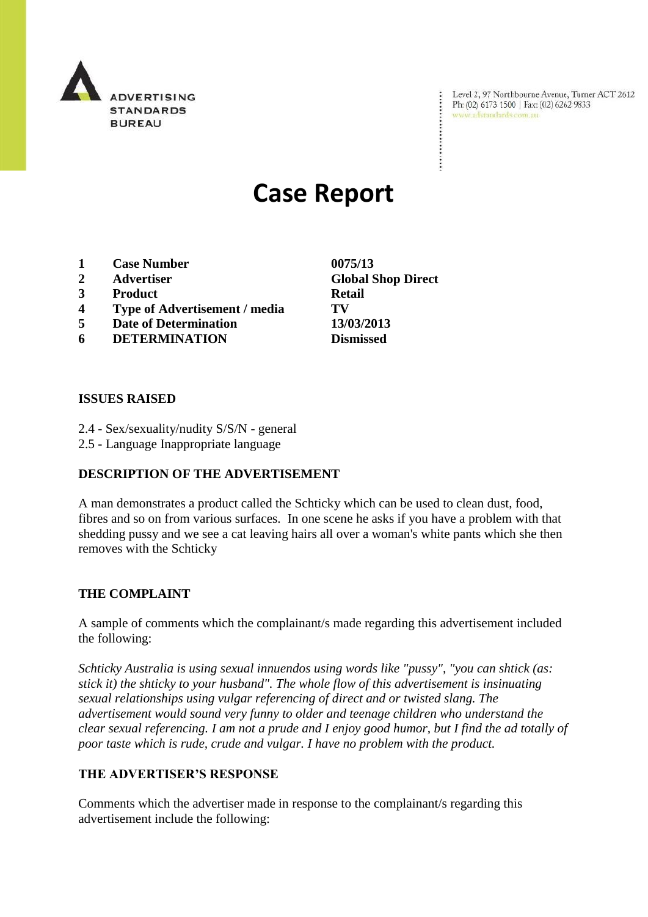

Level 2, 97 Northbourne Avenue, Turner ACT 2612 Ph: (02) 6173 1500 | Fax: (02) 6262 9833 www.adstandards.com.au

# **Case Report**

- **1 Case Number 0075/13**
- 
- **3 Product Retail**
- **4 Type of Advertisement / media TV**
- **5 Date of Determination 13/03/2013**
- **6 DETERMINATION Dismissed**

**ISSUES RAISED**

- 2.4 Sex/sexuality/nudity S/S/N general
- 2.5 Language Inappropriate language

### **DESCRIPTION OF THE ADVERTISEMENT**

A man demonstrates a product called the Schticky which can be used to clean dust, food, fibres and so on from various surfaces. In one scene he asks if you have a problem with that shedding pussy and we see a cat leaving hairs all over a woman's white pants which she then removes with the Schticky

### **THE COMPLAINT**

A sample of comments which the complainant/s made regarding this advertisement included the following:

*Schticky Australia is using sexual innuendos using words like "pussy", "you can shtick (as: stick it) the shticky to your husband". The whole flow of this advertisement is insinuating sexual relationships using vulgar referencing of direct and or twisted slang. The advertisement would sound very funny to older and teenage children who understand the clear sexual referencing. I am not a prude and I enjoy good humor, but I find the ad totally of poor taste which is rude, crude and vulgar. I have no problem with the product.*

### **THE ADVERTISER'S RESPONSE**

Comments which the advertiser made in response to the complainant/s regarding this advertisement include the following:

**2 Advertiser Global Shop Direct**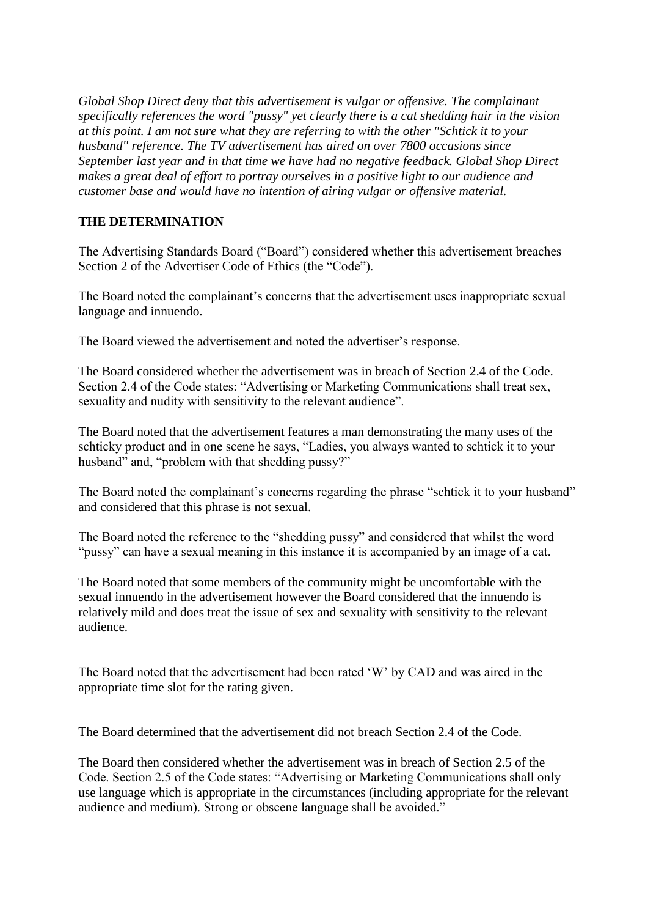*Global Shop Direct deny that this advertisement is vulgar or offensive. The complainant specifically references the word "pussy" yet clearly there is a cat shedding hair in the vision at this point. I am not sure what they are referring to with the other "Schtick it to your husband'' reference. The TV advertisement has aired on over 7800 occasions since September last year and in that time we have had no negative feedback. Global Shop Direct makes a great deal of effort to portray ourselves in a positive light to our audience and customer base and would have no intention of airing vulgar or offensive material.*

## **THE DETERMINATION**

The Advertising Standards Board ("Board") considered whether this advertisement breaches Section 2 of the Advertiser Code of Ethics (the "Code").

The Board noted the complainant's concerns that the advertisement uses inappropriate sexual language and innuendo.

The Board viewed the advertisement and noted the advertiser"s response.

The Board considered whether the advertisement was in breach of Section 2.4 of the Code. Section 2.4 of the Code states: "Advertising or Marketing Communications shall treat sex, sexuality and nudity with sensitivity to the relevant audience".

The Board noted that the advertisement features a man demonstrating the many uses of the schticky product and in one scene he says, "Ladies, you always wanted to schtick it to your husband" and, "problem with that shedding pussy?"

The Board noted the complainant's concerns regarding the phrase "schtick it to your husband" and considered that this phrase is not sexual.

The Board noted the reference to the "shedding pussy" and considered that whilst the word "pussy" can have a sexual meaning in this instance it is accompanied by an image of a cat.

The Board noted that some members of the community might be uncomfortable with the sexual innuendo in the advertisement however the Board considered that the innuendo is relatively mild and does treat the issue of sex and sexuality with sensitivity to the relevant audience.

The Board noted that the advertisement had been rated "W" by CAD and was aired in the appropriate time slot for the rating given.

The Board determined that the advertisement did not breach Section 2.4 of the Code.

The Board then considered whether the advertisement was in breach of Section 2.5 of the Code. Section 2.5 of the Code states: "Advertising or Marketing Communications shall only use language which is appropriate in the circumstances (including appropriate for the relevant audience and medium). Strong or obscene language shall be avoided."